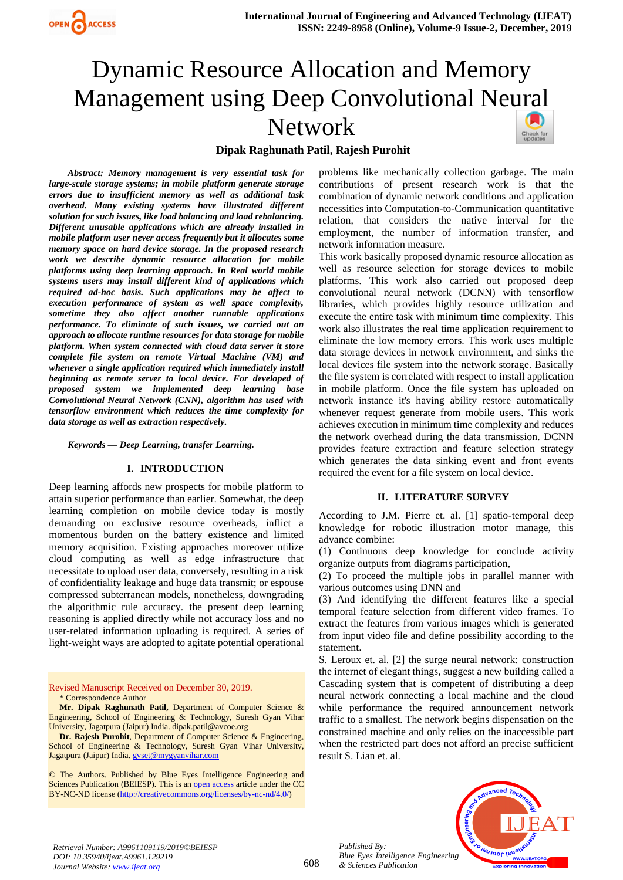

# Dynamic Resource Allocation and Memory Management using Deep Convolutional Ne[ural](https://crossmark.crossref.org/dialog/?doi=10.35940/ijeat.A9961.129219&domain=www.ijeat.org)  Network



# **Dipak Raghunath Patil, Rajesh Purohit**

*Abstract: Memory management is very essential task for large-scale storage systems; in mobile platform generate storage errors due to insufficient memory as well as additional task overhead. Many existing systems have illustrated different solution for such issues, like load balancing and load rebalancing. Different unusable applications which are already installed in mobile platform user never access frequently but it allocates some memory space on hard device storage. In the proposed research work we describe dynamic resource allocation for mobile platforms using deep learning approach. In Real world mobile systems users may install different kind of applications which required ad-hoc basis. Such applications may be affect to execution performance of system as well space complexity, sometime they also affect another runnable applications performance. To eliminate of such issues, we carried out an approach to allocate runtime resources for data storage for mobile platform. When system connected with cloud data server it store complete file system on remote Virtual Machine (VM) and whenever a single application required which immediately install beginning as remote server to local device. For developed of proposed system we implemented deep learning base Convolutional Neural Network (CNN), algorithm has used with tensorflow environment which reduces the time complexity for data storage as well as extraction respectively.* 

*Keywords — Deep Learning, transfer Learning.*

#### **I. INTRODUCTION**

Deep learning affords new prospects for mobile platform to attain superior performance than earlier. Somewhat, the deep learning completion on mobile device today is mostly demanding on exclusive resource overheads, inflict a momentous burden on the battery existence and limited memory acquisition. Existing approaches moreover utilize cloud computing as well as edge infrastructure that necessitate to upload user data, conversely, resulting in a risk of confidentiality leakage and huge data transmit; or espouse compressed subterranean models, nonetheless, downgrading the algorithmic rule accuracy. the present deep learning reasoning is applied directly while not accuracy loss and no user-related information uploading is required. A series of light-weight ways are adopted to agitate potential operational

Revised Manuscript Received on December 30, 2019. \* Correspondence Author

**Mr. Dipak Raghunath Patil,** Department of Computer Science & Engineering, School of Engineering & Technology, Suresh Gyan Vihar University, Jagatpura (Jaipur) India[. dipak.patil@avcoe.org](mailto:dipak.patil@avcoe.org) 

**Dr. Rajesh Purohit**, Department of Computer Science & Engineering, School of Engineering & Technology, Suresh Gyan Vihar University, Jagatpura (Jaipur) India. [gvset@mygyanvihar.com](mailto:gvset@mygyanvihar.com)

© The Authors. Published by Blue Eyes Intelligence Engineering and Sciences Publication (BEIESP). This is a[n open access](https://www.openaccess.nl/en/open-publications) article under the CC BY-NC-ND license [\(http://creativecommons.org/licenses/by-nc-nd/4.0/\)](http://creativecommons.org/licenses/by-nc-nd/4.0/)

problems like mechanically collection garbage. The main contributions of present research work is that the combination of dynamic network conditions and application necessities into Computation-to-Communication quantitative relation, that considers the native interval for the employment, the number of information transfer, and network information measure.

This work basically proposed dynamic resource allocation as well as resource selection for storage devices to mobile platforms. This work also carried out proposed deep convolutional neural network (DCNN) with tensorflow libraries, which provides highly resource utilization and execute the entire task with minimum time complexity. This work also illustrates the real time application requirement to eliminate the low memory errors. This work uses multiple data storage devices in network environment, and sinks the local devices file system into the network storage. Basically the file system is correlated with respect to install application in mobile platform. Once the file system has uploaded on network instance it's having ability restore automatically whenever request generate from mobile users. This work achieves execution in minimum time complexity and reduces the network overhead during the data transmission. DCNN provides feature extraction and feature selection strategy which generates the data sinking event and front events required the event for a file system on local device.

#### **II. LITERATURE SURVEY**

According to J.M. Pierre et. al. [1] spatio-temporal deep knowledge for robotic illustration motor manage, this advance combine:

(1) Continuous deep knowledge for conclude activity organize outputs from diagrams participation,

(2) To proceed the multiple jobs in parallel manner with various outcomes using DNN and

(3) And identifying the different features like a special temporal feature selection from different video frames. To extract the features from various images which is generated from input video file and define possibility according to the statement.

S. Leroux et. al. [2] the surge neural network: construction the internet of elegant things, suggest a new building called a Cascading system that is competent of distributing a deep neural network connecting a local machine and the cloud while performance the required announcement network traffic to a smallest. The network begins dispensation on the constrained machine and only relies on the inaccessible part when the restricted part does not afford an precise sufficient result S. Lian et. al.



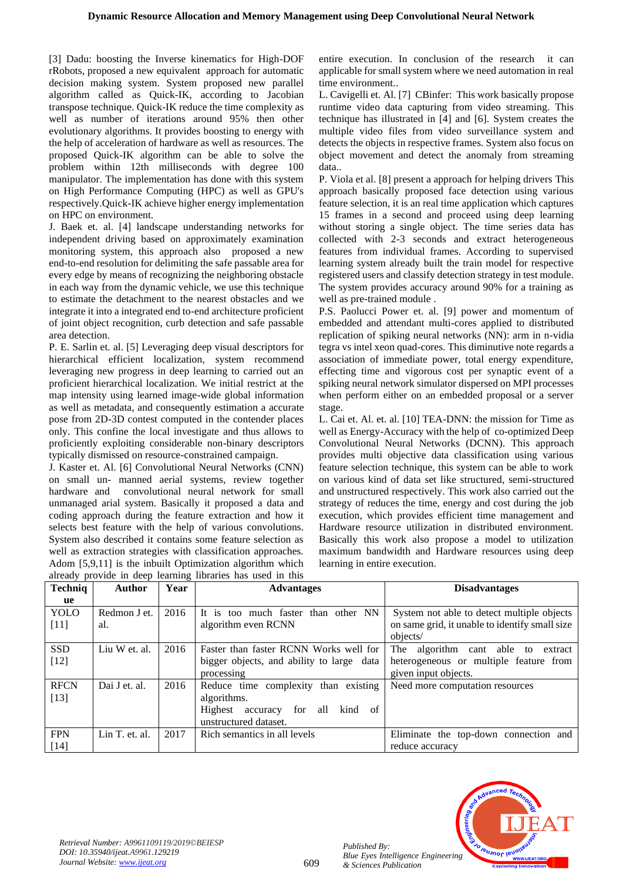[3] Dadu: boosting the Inverse kinematics for High-DOF rRobots, proposed a new equivalent approach for automatic decision making system. System proposed new parallel algorithm called as Quick-IK, according to Jacobian transpose technique. Quick-IK reduce the time complexity as well as number of iterations around 95% then other evolutionary algorithms. It provides boosting to energy with the help of acceleration of hardware as well as resources. The proposed Quick-IK algorithm can be able to solve the problem within 12th milliseconds with degree 100 manipulator. The implementation has done with this system on High Performance Computing (HPC) as well as GPU's respectively.Quick-IK achieve higher energy implementation on HPC on environment.

J. Baek et. al. [4] landscape understanding networks for independent driving based on approximately examination monitoring system, this approach also proposed a new end-to-end resolution for delimiting the safe passable area for every edge by means of recognizing the neighboring obstacle in each way from the dynamic vehicle, we use this technique to estimate the detachment to the nearest obstacles and we integrate it into a integrated end to-end architecture proficient of joint object recognition, curb detection and safe passable area detection.

P. E. Sarlin et. al. [5] Leveraging deep visual descriptors for hierarchical efficient localization, system recommend leveraging new progress in deep learning to carried out an proficient hierarchical localization. We initial restrict at the map intensity using learned image-wide global information as well as metadata, and consequently estimation a accurate pose from 2D-3D contest computed in the contender places only. This confine the local investigate and thus allows to proficiently exploiting considerable non-binary descriptors typically dismissed on resource-constrained campaign.

J. Kaster et. Al. [6] Convolutional Neural Networks (CNN) on small un- manned aerial systems, review together hardware and convolutional neural network for small unmanaged arial system. Basically it proposed a data and coding approach during the feature extraction and how it selects best feature with the help of various convolutions. System also described it contains some feature selection as well as extraction strategies with classification approaches. Adom [5,9,11] is the inbuilt Optimization algorithm which entire execution. In conclusion of the research it can applicable for small system where we need automation in real time environment..

L. Cavigelli et. Al. [7] CBinfer: This work basically propose runtime video data capturing from video streaming. This technique has illustrated in [4] and [6]. System creates the multiple video files from video surveillance system and detects the objects in respective frames. System also focus on object movement and detect the anomaly from streaming data..

P. Viola et al. [8] present a approach for helping drivers This approach basically proposed face detection using various feature selection, it is an real time application which captures 15 frames in a second and proceed using deep learning without storing a single object. The time series data has collected with 2-3 seconds and extract heterogeneous features from individual frames. According to supervised learning system already built the train model for respective registered users and classify detection strategy in test module. The system provides accuracy around 90% for a training as well as pre-trained module .

P.S. Paolucci Power et. al. [9] power and momentum of embedded and attendant multi-cores applied to distributed replication of spiking neural networks (NN): arm in n-vidia tegra vs intel xeon quad-cores. This diminutive note regards a association of immediate power, total energy expenditure, effecting time and vigorous cost per synaptic event of a spiking neural network simulator dispersed on MPI processes when perform either on an embedded proposal or a server stage.

L. Cai et. Al. et. al. [10] TEA-DNN: the mission for Time as well as Energy-Accuracy with the help of co-optimized Deep Convolutional Neural Networks (DCNN). This approach provides multi objective data classification using various feature selection technique, this system can be able to work on various kind of data set like structured, semi-structured and unstructured respectively. This work also carried out the strategy of reduces the time, energy and cost during the job execution, which provides efficient time management and Hardware resource utilization in distributed environment. Basically this work also propose a model to utilization maximum bandwidth and Hardware resources using deep learning in entire execution.

| already provide in deep learning libraries has used in this |                |      |                                                   |                                                |  |  |  |
|-------------------------------------------------------------|----------------|------|---------------------------------------------------|------------------------------------------------|--|--|--|
| <b>Techniq</b>                                              | <b>Author</b>  | Year | <b>Advantages</b>                                 | <b>Disadvantages</b>                           |  |  |  |
| ue                                                          |                |      |                                                   |                                                |  |  |  |
| <b>YOLO</b>                                                 | Redmon J et.   | 2016 | It is too much faster than other NN               | System not able to detect multiple objects     |  |  |  |
| $[11]$                                                      | al.            |      | algorithm even RCNN                               | on same grid, it unable to identify small size |  |  |  |
|                                                             |                |      |                                                   | objects/                                       |  |  |  |
| <b>SSD</b>                                                  | Liu W et. al.  | 2016 | Faster than faster RCNN Works well for            | algorithm cant able to<br>The<br>extract       |  |  |  |
| $[12]$                                                      |                |      | bigger objects, and ability to large data         | heterogeneous or multiple feature from         |  |  |  |
|                                                             |                |      | processing                                        | given input objects.                           |  |  |  |
| <b>RFCN</b>                                                 | Dai J et. al.  | 2016 | Reduce time complexity than existing              | Need more computation resources                |  |  |  |
| $[13]$                                                      |                |      | algorithms.                                       |                                                |  |  |  |
|                                                             |                |      | Highest<br>for<br>all<br>kind<br>accuracy<br>- of |                                                |  |  |  |
|                                                             |                |      | unstructured dataset.                             |                                                |  |  |  |
| <b>FPN</b>                                                  | Lin T. et. al. | 2017 | Rich semantics in all levels                      | Eliminate the top-down connection and          |  |  |  |
| $[14]$                                                      |                |      |                                                   | reduce accuracy                                |  |  |  |

609

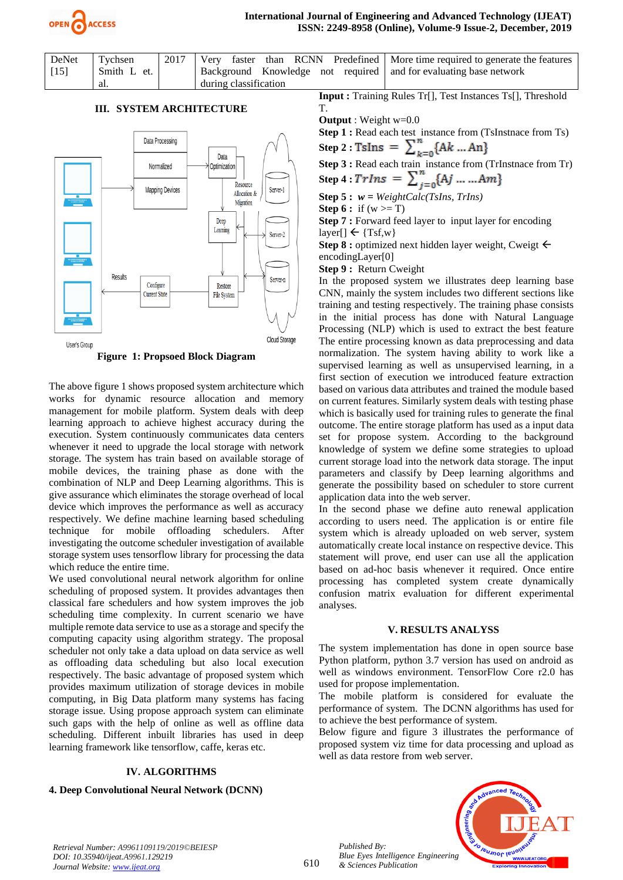

| DeNet<br>$[15]$ | Tychsen<br>Smith L et. | 2017 | Background Knowledge not required and for evaluating base network | Very faster than RCNN Predefined   More time required to generate the features |
|-----------------|------------------------|------|-------------------------------------------------------------------|--------------------------------------------------------------------------------|
|                 | -al.                   |      | during classification                                             |                                                                                |

# **III. SYSTEM ARCHITECTURE**





The above figure 1 shows proposed system architecture which works for dynamic resource allocation and memory management for mobile platform. System deals with deep learning approach to achieve highest accuracy during the execution. System continuously communicates data centers whenever it need to upgrade the local storage with network storage. The system has train based on available storage of mobile devices, the training phase as done with the combination of NLP and Deep Learning algorithms. This is give assurance which eliminates the storage overhead of local device which improves the performance as well as accuracy respectively. We define machine learning based scheduling technique for mobile offloading schedulers. After investigating the outcome scheduler investigation of available storage system uses tensorflow library for processing the data which reduce the entire time.

We used convolutional neural network algorithm for online scheduling of proposed system. It provides advantages then classical fare schedulers and how system improves the job scheduling time complexity. In current scenario we have multiple remote data service to use as a storage and specify the computing capacity using algorithm strategy. The proposal scheduler not only take a data upload on data service as well as offloading data scheduling but also local execution respectively. The basic advantage of proposed system which provides maximum utilization of storage devices in mobile computing, in Big Data platform many systems has facing storage issue. Using propose approach system can eliminate such gaps with the help of online as well as offline data scheduling. Different inbuilt libraries has used in deep learning framework like tensorflow, caffe, keras etc.

# **IV. ALGORITHMS**

#### **4. Deep Convolutional Neural Network (DCNN)**

**Input :** Training Rules Tr[], Test Instances Ts[], Threshold T.

**Output** : Weight w=0.0

**Step 1 :** Read each test instance from (TsInstnace from Ts) **Step 2 :** 

**Step 3 :** Read each train instance from (TrInstnace from Tr)

**Step 4 :** 

**Step 5 :** *w = WeightCalc(TsIns, TrIns)*

**Step 6 :** if  $(w \ge T)$ 

**Step 7 :** Forward feed layer to input layer for encoding  $layer[] \leftarrow \{Tsf, w\}$ 

Step 8 : optimized next hidden layer weight, Cweigt  $\leftarrow$ encodingLayer[0]

**Step 9 :** Return Cweight

In the proposed system we illustrates deep learning base CNN, mainly the system includes two different sections like training and testing respectively. The training phase consists in the initial process has done with Natural Language Processing (NLP) which is used to extract the best feature The entire processing known as data preprocessing and data normalization. The system having ability to work like a supervised learning as well as unsupervised learning, in a first section of execution we introduced feature extraction based on various data attributes and trained the module based on current features. Similarly system deals with testing phase which is basically used for training rules to generate the final outcome. The entire storage platform has used as a input data set for propose system. According to the background knowledge of system we define some strategies to upload current storage load into the network data storage. The input parameters and classify by Deep learning algorithms and generate the possibility based on scheduler to store current application data into the web server.

In the second phase we define auto renewal application according to users need. The application is or entire file system which is already uploaded on web server, system automatically create local instance on respective device. This statement will prove, end user can use all the application based on ad-hoc basis whenever it required. Once entire processing has completed system create dynamically confusion matrix evaluation for different experimental analyses.

## **V. RESULTS ANALYSS**

The system implementation has done in open source base Python platform, python 3.7 version has used on android as well as windows environment. TensorFlow Core r2.0 has used for propose implementation.

The mobile platform is considered for evaluate the performance of system. The DCNN algorithms has used for to achieve the best performance of system.

Below figure and figure 3 illustrates the performance of proposed system viz time for data processing and upload as well as data restore from web server.



*Retrieval Number: A9961109119/2019©BEIESP DOI: 10.35940/ijeat.A9961.129219 Journal Website[: www.ijeat.org](http://www.ijeat.org/)*

*Published By:*

*& Sciences Publication*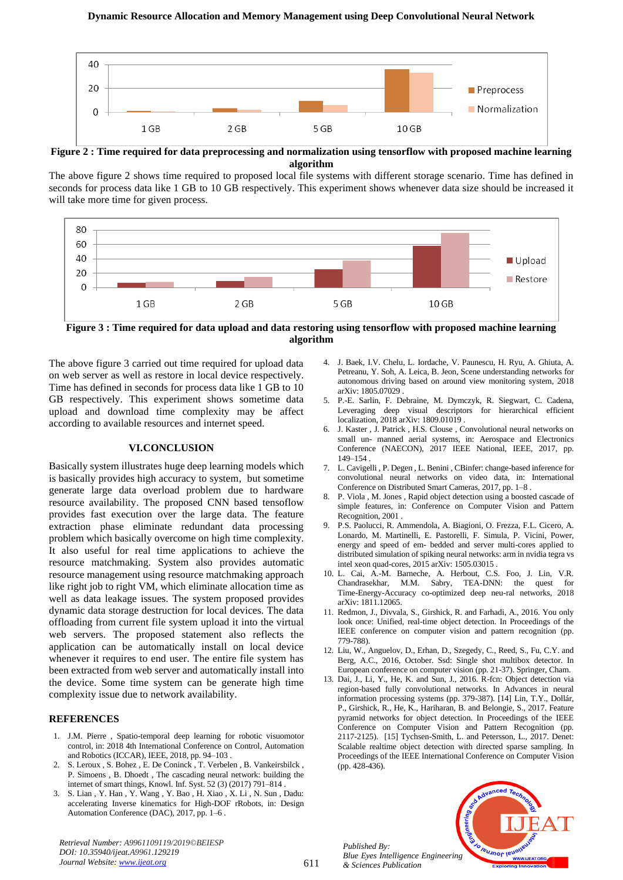

**Figure 2 : Time required for data preprocessing and normalization using tensorflow with proposed machine learning algorithm**

The above figure 2 shows time required to proposed local file systems with different storage scenario. Time has defined in seconds for process data like 1 GB to 10 GB respectively. This experiment shows whenever data size should be increased it will take more time for given process.



**Figure 3 : Time required for data upload and data restoring using tensorflow with proposed machine learning algorithm**

The above figure 3 carried out time required for upload data on web server as well as restore in local device respectively. Time has defined in seconds for process data like 1 GB to 10 GB respectively. This experiment shows sometime data upload and download time complexity may be affect according to available resources and internet speed.

## **VI.CONCLUSION**

Basically system illustrates huge deep learning models which is basically provides high accuracy to system, but sometime generate large data overload problem due to hardware resource availability. The proposed CNN based tensoflow provides fast execution over the large data. The feature extraction phase eliminate redundant data processing problem which basically overcome on high time complexity. It also useful for real time applications to achieve the resource matchmaking. System also provides automatic resource management using resource matchmaking approach like right job to right VM, which eliminate allocation time as well as data leakage issues. The system proposed provides dynamic data storage destruction for local devices. The data offloading from current file system upload it into the virtual web servers. The proposed statement also reflects the application can be automatically install on local device whenever it requires to end user. The entire file system has been extracted from web server and automatically install into the device. Some time system can be generate high time complexity issue due to network availability.

## **REFERENCES**

- 1. J.M. Pierre , Spatio-temporal deep learning for robotic visuomotor control, in: 2018 4th International Conference on Control, Automation and Robotics (ICCAR), IEEE, 2018, pp. 94–103 .
- 2. S. Leroux , S. Bohez , E. De Coninck , T. Verbelen , B. Vankeirsbilck , P. Simoens , B. Dhoedt , The cascading neural network: building the internet of smart things, Knowl. Inf. Syst. 52 (3) (2017) 791–814 .
- 3. S. Lian , Y. Han , Y. Wang , Y. Bao , H. Xiao , X. Li , N. Sun , Dadu: accelerating Inverse kinematics for High-DOF rRobots, in: Design Automation Conference (DAC), 2017, pp. 1–6 .

*Retrieval Number: A9961109119/2019©BEIESP DOI: 10.35940/ijeat.A9961.129219 Journal Website[: www.ijeat.org](http://www.ijeat.org/)*

- 4. J. Baek, I.V. Chelu, L. Iordache, V. Paunescu, H. Ryu, A. Ghiuta, A. Petreanu, Y. Soh, A. Leica, B. Jeon, Scene understanding networks for autonomous driving based on around view monitoring system, 2018 arXiv: 1805.07029 .
- 5. P.-E. Sarlin, F. Debraine, M. Dymczyk, R. Siegwart, C. Cadena, Leveraging deep visual descriptors for hierarchical efficient localization, 2018 arXiv: 1809.01019 .
- 6. J. Kaster , J. Patrick , H.S. Clouse , Convolutional neural networks on small un- manned aerial systems, in: Aerospace and Electronics Conference (NAECON), 2017 IEEE National, IEEE, 2017, pp. 149–154 .
- 7. L. Cavigelli , P. Degen , L. Benini , CBinfer: change-based inference for convolutional neural networks on video data, in: International Conference on Distributed Smart Cameras, 2017, pp. 1–8 .
- 8. P. Viola , M. Jones , Rapid object detection using a boosted cascade of simple features, in: Conference on Computer Vision and Pattern Recognition, 2001 .
- 9. P.S. Paolucci, R. Ammendola, A. Biagioni, O. Frezza, F.L. Cicero, A. Lonardo, M. Martinelli, E. Pastorelli, F. Simula, P. Vicini, Power, energy and speed of em- bedded and server multi-cores applied to distributed simulation of spiking neural networks: arm in nvidia tegra vs intel xeon quad-cores, 2015 arXiv: 1505.03015 .
- 10. L. Cai, A.-M. Barneche, A. Herbout, C.S. Foo, J. Lin, V.R. Chandrasekhar, M.M. Sabry, TEA-DNN: the quest for Time-Energy-Accuracy co-optimized deep neu-ral networks, 2018 arXiv: 1811.12065.
- 11. Redmon, J., Divvala, S., Girshick, R. and Farhadi, A., 2016. You only look once: Unified, real-time object detection. In Proceedings of the IEEE conference on computer vision and pattern recognition (pp. 779-788).
- 12. Liu, W., Anguelov, D., Erhan, D., Szegedy, C., Reed, S., Fu, C.Y. and Berg, A.C., 2016, October. Ssd: Single shot multibox detector. In European conference on computer vision (pp. 21-37). Springer, Cham.
- 13. Dai, J., Li, Y., He, K. and Sun, J., 2016. R-fcn: Object detection via region-based fully convolutional networks. In Advances in neural information processing systems (pp. 379-387). [14] Lin, T.Y., Dollár, P., Girshick, R., He, K., Hariharan, B. and Belongie, S., 2017. Feature pyramid networks for object detection. In Proceedings of the IEEE Conference on Computer Vision and Pattern Recognition (pp. 2117-2125). [15] Tychsen-Smith, L. and Petersson, L., 2017. Denet: Scalable realtime object detection with directed sparse sampling. In Proceedings of the IEEE International Conference on Computer Vision (pp. 428-436).



*Published By: Blue Eyes Intelligence Engineering & Sciences Publication*